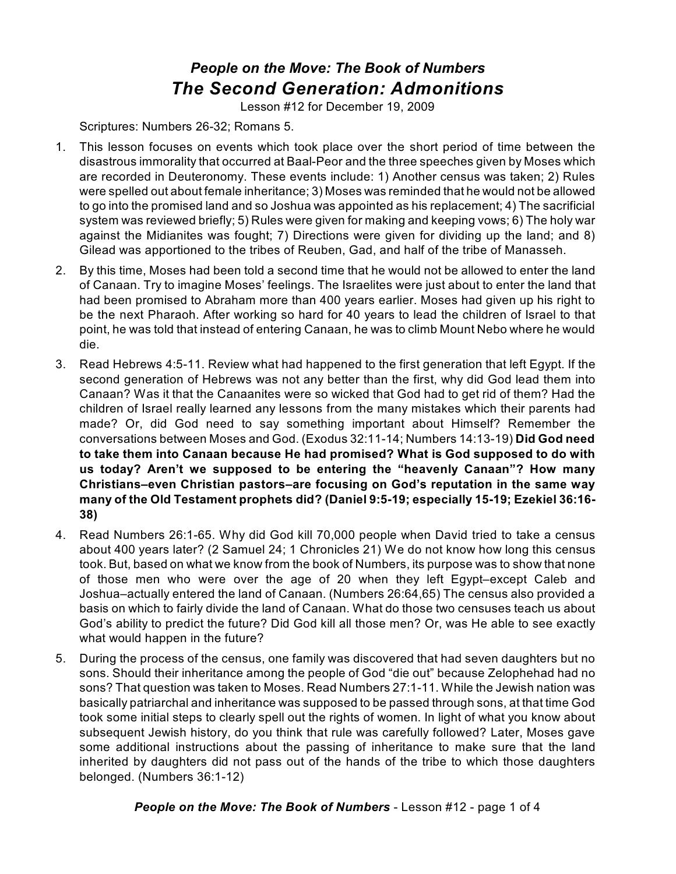## *People on the Move: The Book of Numbers The Second Generation: Admonitions*

Lesson #12 for December 19, 2009

Scriptures: Numbers 26-32; Romans 5.

- 1. This lesson focuses on events which took place over the short period of time between the disastrous immorality that occurred at Baal-Peor and the three speeches given by Moses which are recorded in Deuteronomy. These events include: 1) Another census was taken; 2) Rules were spelled out about female inheritance; 3) Moses was reminded that he would not be allowed to go into the promised land and so Joshua was appointed as his replacement; 4) The sacrificial system was reviewed briefly; 5) Rules were given for making and keeping vows; 6) The holy war against the Midianites was fought; 7) Directions were given for dividing up the land; and 8) Gilead was apportioned to the tribes of Reuben, Gad, and half of the tribe of Manasseh.
- 2. By this time, Moses had been told a second time that he would not be allowed to enter the land of Canaan. Try to imagine Moses' feelings. The Israelites were just about to enter the land that had been promised to Abraham more than 400 years earlier. Moses had given up his right to be the next Pharaoh. After working so hard for 40 years to lead the children of Israel to that point, he was told that instead of entering Canaan, he was to climb Mount Nebo where he would die.
- 3. Read Hebrews 4:5-11. Review what had happened to the first generation that left Egypt. If the second generation of Hebrews was not any better than the first, why did God lead them into Canaan? Was it that the Canaanites were so wicked that God had to get rid of them? Had the children of Israel really learned any lessons from the many mistakes which their parents had made? Or, did God need to say something important about Himself? Remember the conversations between Moses and God. (Exodus 32:11-14; Numbers 14:13-19) **Did God need to take them into Canaan because He had promised? What is God supposed to do with us today? Aren't we supposed to be entering the "heavenly Canaan"? How many Christians–even Christian pastors–are focusing on God's reputation in the same way many of the Old Testament prophets did? (Daniel 9:5-19; especially 15-19; Ezekiel 36:16- 38)**
- 4. Read Numbers 26:1-65. Why did God kill 70,000 people when David tried to take a census about 400 years later? (2 Samuel 24; 1 Chronicles 21) We do not know how long this census took. But, based on what we know from the book of Numbers, its purpose was to show that none of those men who were over the age of 20 when they left Egypt–except Caleb and Joshua–actually entered the land of Canaan. (Numbers 26:64,65) The census also provided a basis on which to fairly divide the land of Canaan. What do those two censuses teach us about God's ability to predict the future? Did God kill all those men? Or, was He able to see exactly what would happen in the future?
- 5. During the process of the census, one family was discovered that had seven daughters but no sons. Should their inheritance among the people of God "die out" because Zelophehad had no sons? That question was taken to Moses. Read Numbers 27:1-11. While the Jewish nation was basically patriarchal and inheritance was supposed to be passed through sons, at that time God took some initial steps to clearly spell out the rights of women. In light of what you know about subsequent Jewish history, do you think that rule was carefully followed? Later, Moses gave some additional instructions about the passing of inheritance to make sure that the land inherited by daughters did not pass out of the hands of the tribe to which those daughters belonged. (Numbers 36:1-12)

*People on the Move: The Book of Numbers* - Lesson #12 - page 1 of 4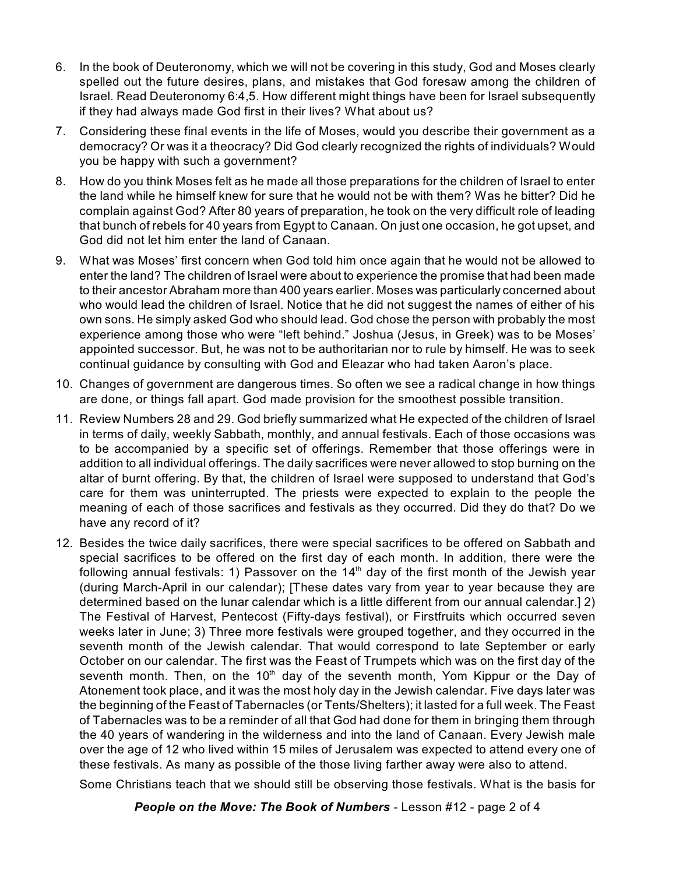- 6. In the book of Deuteronomy, which we will not be covering in this study, God and Moses clearly spelled out the future desires, plans, and mistakes that God foresaw among the children of Israel. Read Deuteronomy 6:4,5. How different might things have been for Israel subsequently if they had always made God first in their lives? What about us?
- 7. Considering these final events in the life of Moses, would you describe their government as a democracy? Or was it a theocracy? Did God clearly recognized the rights of individuals? Would you be happy with such a government?
- 8. How do you think Moses felt as he made all those preparations for the children of Israel to enter the land while he himself knew for sure that he would not be with them? Was he bitter? Did he complain against God? After 80 years of preparation, he took on the very difficult role of leading that bunch of rebels for 40 years from Egypt to Canaan. On just one occasion, he got upset, and God did not let him enter the land of Canaan.
- 9. What was Moses' first concern when God told him once again that he would not be allowed to enter the land? The children of Israel were about to experience the promise that had been made to their ancestor Abraham more than 400 years earlier. Moses was particularly concerned about who would lead the children of Israel. Notice that he did not suggest the names of either of his own sons. He simply asked God who should lead. God chose the person with probably the most experience among those who were "left behind." Joshua (Jesus, in Greek) was to be Moses' appointed successor. But, he was not to be authoritarian nor to rule by himself. He was to seek continual guidance by consulting with God and Eleazar who had taken Aaron's place.
- 10. Changes of government are dangerous times. So often we see a radical change in how things are done, or things fall apart. God made provision for the smoothest possible transition.
- 11. Review Numbers 28 and 29. God briefly summarized what He expected of the children of Israel in terms of daily, weekly Sabbath, monthly, and annual festivals. Each of those occasions was to be accompanied by a specific set of offerings. Remember that those offerings were in addition to all individual offerings. The daily sacrifices were never allowed to stop burning on the altar of burnt offering. By that, the children of Israel were supposed to understand that God's care for them was uninterrupted. The priests were expected to explain to the people the meaning of each of those sacrifices and festivals as they occurred. Did they do that? Do we have any record of it?
- 12. Besides the twice daily sacrifices, there were special sacrifices to be offered on Sabbath and special sacrifices to be offered on the first day of each month. In addition, there were the following annual festivals: 1) Passover on the 14<sup>th</sup> day of the first month of the Jewish year (during March-April in our calendar); [These dates vary from year to year because they are determined based on the lunar calendar which is a little different from our annual calendar.] 2) The Festival of Harvest, Pentecost (Fifty-days festival), or Firstfruits which occurred seven weeks later in June; 3) Three more festivals were grouped together, and they occurred in the seventh month of the Jewish calendar. That would correspond to late September or early October on our calendar. The first was the Feast of Trumpets which was on the first day of the seventh month. Then, on the 10<sup>th</sup> day of the seventh month, Yom Kippur or the Day of Atonement took place, and it was the most holy day in the Jewish calendar. Five days later was the beginning of the Feast of Tabernacles (or Tents/Shelters); it lasted for a full week. The Feast of Tabernacles was to be a reminder of all that God had done for them in bringing them through the 40 years of wandering in the wilderness and into the land of Canaan. Every Jewish male over the age of 12 who lived within 15 miles of Jerusalem was expected to attend every one of these festivals. As many as possible of the those living farther away were also to attend.

Some Christians teach that we should still be observing those festivals. What is the basis for

*People on the Move: The Book of Numbers* - Lesson #12 - page 2 of 4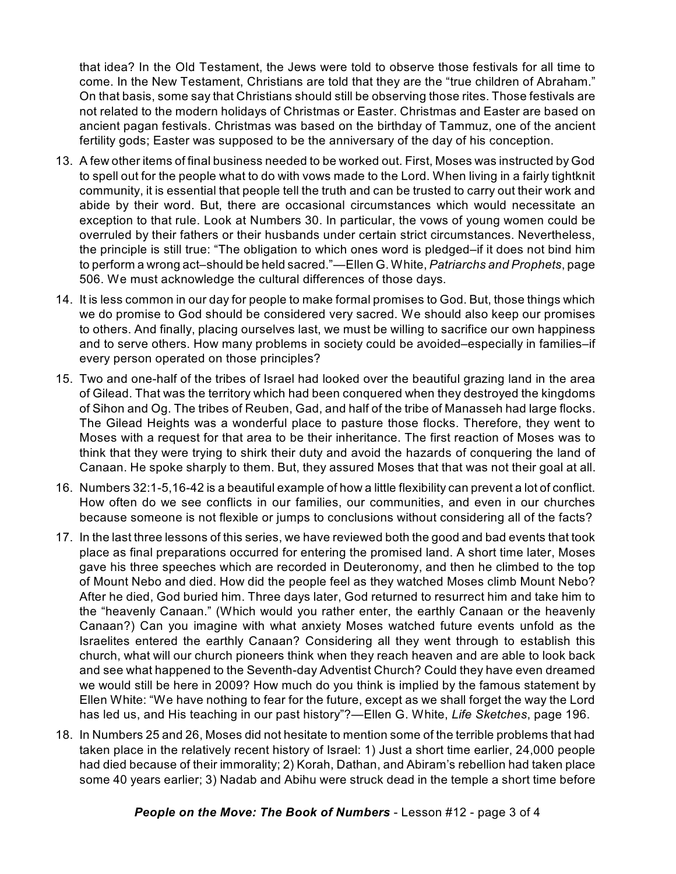that idea? In the Old Testament, the Jews were told to observe those festivals for all time to come. In the New Testament, Christians are told that they are the "true children of Abraham." On that basis, some say that Christians should still be observing those rites. Those festivals are not related to the modern holidays of Christmas or Easter. Christmas and Easter are based on ancient pagan festivals. Christmas was based on the birthday of Tammuz, one of the ancient fertility gods; Easter was supposed to be the anniversary of the day of his conception.

- 13. A few other items of final business needed to be worked out. First, Moses was instructed by God to spell out for the people what to do with vows made to the Lord. When living in a fairly tightknit community, it is essential that people tell the truth and can be trusted to carry out their work and abide by their word. But, there are occasional circumstances which would necessitate an exception to that rule. Look at Numbers 30. In particular, the vows of young women could be overruled by their fathers or their husbands under certain strict circumstances. Nevertheless, the principle is still true: "The obligation to which ones word is pledged–if it does not bind him to perform a wrong act–should be held sacred."—Ellen G. White, *Patriarchs and Prophets*, page 506. We must acknowledge the cultural differences of those days.
- 14. It is less common in our day for people to make formal promises to God. But, those things which we do promise to God should be considered very sacred. We should also keep our promises to others. And finally, placing ourselves last, we must be willing to sacrifice our own happiness and to serve others. How many problems in society could be avoided–especially in families–if every person operated on those principles?
- 15. Two and one-half of the tribes of Israel had looked over the beautiful grazing land in the area of Gilead. That was the territory which had been conquered when they destroyed the kingdoms of Sihon and Og. The tribes of Reuben, Gad, and half of the tribe of Manasseh had large flocks. The Gilead Heights was a wonderful place to pasture those flocks. Therefore, they went to Moses with a request for that area to be their inheritance. The first reaction of Moses was to think that they were trying to shirk their duty and avoid the hazards of conquering the land of Canaan. He spoke sharply to them. But, they assured Moses that that was not their goal at all.
- 16. Numbers 32:1-5,16-42 is a beautiful example of how a little flexibility can prevent a lot of conflict. How often do we see conflicts in our families, our communities, and even in our churches because someone is not flexible or jumps to conclusions without considering all of the facts?
- 17. In the last three lessons of this series, we have reviewed both the good and bad events that took place as final preparations occurred for entering the promised land. A short time later, Moses gave his three speeches which are recorded in Deuteronomy, and then he climbed to the top of Mount Nebo and died. How did the people feel as they watched Moses climb Mount Nebo? After he died, God buried him. Three days later, God returned to resurrect him and take him to the "heavenly Canaan." (Which would you rather enter, the earthly Canaan or the heavenly Canaan?) Can you imagine with what anxiety Moses watched future events unfold as the Israelites entered the earthly Canaan? Considering all they went through to establish this church, what will our church pioneers think when they reach heaven and are able to look back and see what happened to the Seventh-day Adventist Church? Could they have even dreamed we would still be here in 2009? How much do you think is implied by the famous statement by Ellen White: "We have nothing to fear for the future, except as we shall forget the way the Lord has led us, and His teaching in our past history"?—Ellen G. White, *Life Sketches*, page 196.
- 18. In Numbers 25 and 26, Moses did not hesitate to mention some of the terrible problems that had taken place in the relatively recent history of Israel: 1) Just a short time earlier, 24,000 people had died because of their immorality; 2) Korah, Dathan, and Abiram's rebellion had taken place some 40 years earlier; 3) Nadab and Abihu were struck dead in the temple a short time before